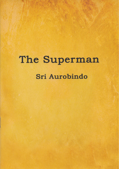# The Superman **Sri Aurobindo**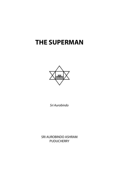# **THE SUPERMAN**



*Sri Aurobindo*

SRI AUROBINDO ASHRAM **PUDUCHERRY**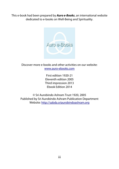This e-book had been prepared by *Auro e-Books*, an international website dedicated to e-books on Well-Being and Spirituality.



Discover more e-books and other activities on our website: [www.auro-ebooks.com](http://www.auro-ebooks.com/)

> First edition 1920-21 Eleventh edition 2005 Third impression 2013 Ebook Edition 2014

© Sri Aurobindo Ashram Trust 1920, 2005 Published by Sri Aurobindo Ashram Publication Department Website: [http://sabda.sriaurobindoashram.org](http://sabda.sriaurobindoashram.org/)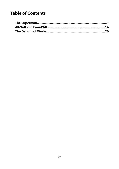## **Table of Contents**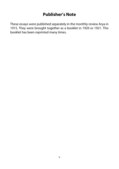#### **Publisher's Note**

These essays were published separately in the monthly review Arya in 1915. They were brought together as a booklet in 1920 or 1921. This booklet has been reprinted many times.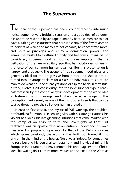#### <span id="page-5-0"></span>**The Superman**

The ideal of the Superman has been brought recently into much notice, some not very fruitful discussion and a good deal of obloquy. It is apt to be resented by average humanity because men are told or have a lurking consciousness that here is a claim of the few to ascend to heights of which the many are not capable, to concentrate moral and spiritual privileges and enjoy a domination, powers and immunities hurtful to a diffused dignity and freedom in mankind. So considered, supermanhood is nothing more important than a deification of the rare or solitary ego that has out-topped others in the force of our common human qualities. But this presentation is narrow and a travesty. The gospel of true supermanhood gives us a generous ideal for the progressive human race and should not be turned into an arrogant claim for a class or individuals. It is a call to man to do what no species has yet done or aspired to do in terrestrial history, evolve itself consciously into the next superior type already half foreseen by the continual cyclic development of the world-idea in Nature's fruitful musings. And when we so envisage it, this conception ranks surely as one of the most potent seeds that can be cast by thought into the soil of our human growth.

Nietzsche first cast it, the mystic of Will-worship, the troubled, profound, half-luminous Hellenising Slav with his strange clarities, his violent half-ideas, his rare gleaming intuitions that came marked with the stamp of an absolute truth and sovereignty of light. But Nietzsche was an apostle who never entirely understood his own message. His prophetic style was like that of the Delphic oracles which spoke constantly the word of the Truth but turned it into untruth in the mind of the hearer. Not always indeed; for sometimes he rose beyond his personal temperament and individual mind, his European inheritance and environment, his revolt against the Christidea, his war against current moral values and spoke out the Word as

1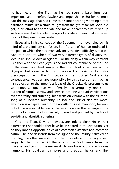he had heard it, the Truth as he had seen it, bare, luminous, impersonal and therefore flawless and imperishable. But for the most part this message that had come to his inner hearing vibrating out of a distant Infinite like a strain caught from the lyre of far-off Gods, did get, in his effort to appropriate and make it nearer to him, mixed up with a somewhat turbulent surge of collateral ideas that drowned much of the pure original note.

Especially, in his concept of the Superman he never cleared his mind of a preliminary confusion. For if a sort of human godhead is the goal to which the race must advance, the first difficulty is that we have to decide to which of two very different types of divinity the idea in us should owe allegiance. For the deity within may confront us either with the clear, joyous and radiant countenance of the God or the stern convulsed visage of the Titan. Nietzsche hymned the Olympian but presented him with the aspect of the Asura. His hostile preoccupation with the Christ-idea of the crucified God and its consequences was perhaps responsible for this distortion, as much as his subjection to the imperfect ideas of the Greeks. He presents to us sometimes a superman who fiercely and arrogantly repels the burden of simple sorrow and service, not one who arises victorious over mortality and suffering, his ascension vibrant with the triumphsong of a liberated humanity. To lose the link of Nature's moral evolution is a capital fault in the apostle of supermanhood; for only out of the unavoidable line of the evolution can that emerge in the bosom of a humanity long tested, ripened and purified by the fire of egoistic and altruistic suffering.

God and Titan, Deva and Asura, are indeed close kin in their differences; nor could either have been spared in the evolution. Yet do they inhabit opposite poles of a common existence and common nature. The one descends from the light and the infinity, satisfied, to the play; the other ascends from the obscurity and the vagueness, angry, to the struggle. All the acts of the God derive from the universal and tend to the universal. He was born out of a victorious harmony. His qualities join pure and gracious hands and link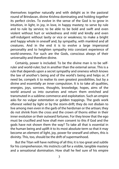themselves together naturally and with delight as in the pastoral round of Brindavan, divine Krishna dominating and holding together its perfect circles. To evolve in the sense of the God is to grow in intuition, in light, in joy, in love, in happy mastery; to serve by rule and to rule by service; to be able to be bold and swift and even violent without hurt or wickedness and mild and kindly and even self-indulgent without laxity or vice or weakness; to make a bright and happy whole in oneself and, by sympathy, with mankind and all creatures. And in the end it is to evolve a large impersonal personality and to heighten sympathy into constant experience of world-oneness. For such are the Gods, conscious always of their universality and therefore divine.

Certainly, power is included. To be the divine man is to be selfruler and world-ruler; but in another than the external sense. This is a rule that depends upon a secret sympathy and oneness which knows the law of another's being and of the world's being and helps or, if need be, compels it to realise its own greatest possibilities, but by a divine and essentially an inner compulsion. It is to take all qualities, energies, joys, sorrows, thoughts, knowledge, hopes, aims of the world around us into ourselves and return them enriched and transmuted in a sublime commerce and exploitation. Such an empire asks for no vulgar ostentation or golden trappings. The gods work oftenest veiled by light or by the storm-drift; they do not disdain to live among men even in the garb of the herdsman or the artisan; they do not shrink from the cross and the crown of thorns either in their inner evolution or their outward fortunes. For they know that the ego must be crucified and how shall men consent to this if God and the gods have not shown them the way? To take all that is essential in the human being and uplift it to its most absolute term so that it may become an element of light, joy, power for oneself and others, this is divinity. This, too, should be the drift of supermanhood.

But the Titan will have nothing of all this; it is too great and subtle for his comprehension. His instincts call for a visible, tangible mastery and a sensational domination. How shall he feel sure of his empire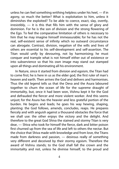unless he can feel something writhing helpless under his heel, — if in agony, so much the better? What is exploitation to him, unless it diminishes the exploited? To be able to coerce, exact, slay, overtly, irresistibly, — it is this that fills him with the sense of glory and dominion. For he is the son of division and the strong flowering of the Ego. To feel the comparative limitation of others is necessary to him that he may imagine himself immeasurable; for he has not the real, self-existent sense of infinity which no outward circumstance can abrogate. Contrast, division, negation of the wills and lives of others are essential to his self-development and self-assertion. The Titan would unify by devouring, not by harmonising; he must conquer and trample what is not himself either out of existence or into subservience so that his own image may stand out stamped upon all things and dominating all his environment.

In Nature, since it started from division and egoism, the Titan had to come first; he is here in us as the elder god, the first ruler of man's heaven and earth. Then arrives the God and delivers and harmonises. Thus the old legend tells us that the Deva and the Asura laboured together to churn the ocean of life for the supreme draught of immortality, but, once it had been won, Vishnu kept it for the God and defrauded the fiercer and more violent worker. And this seems unjust; for the Asura has the heavier and less grateful portion of the burden. He begins and leads; he goes his way hewing, shaping, planting: the God follows, amends, concludes, reaps. He prepares fiercely and with anguish against a thousand obstacles the force that we shall use: the other enjoys the victory and the delight. And therefore to the great God Shiva the stained and stormy Titan is very dear, — Shiva who took for himself the fierce, dark and bitter poison first churned up from the sea of life and left to others the nectar. But the choice that Shiva made with knowledge and from love, the Titans made from darkness and passion, — desirous really of something very different and deceived by their stormy egoism. Therefore the award of Vishnu stands; to the God shall fall the crown and the immortality and not, unless he divinise himself, to the proud and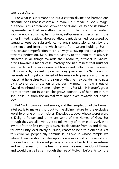strenuous Asura.

For what is supermanhood but a certain divine and harmonious absolute of all that is essential in man? He is made in God's image, but there is this difference between the divine Reality and its human representative that everything which in the one is unlimited, spontaneous, absolute, harmonious, self-possessed becomes in the other limited, relative, laboured, discordant, deformed, possessed by struggle, kept by subservience to one's possessions, lost by the transience and insecurity which come from wrong holding. But in this constant imperfection there is always a craving and an aspiration towards perfection. Man, limited, yearns to the Infinite; relative, is attracted in all things towards their absolute; artificial in Nature, drives towards a higher ease, mastery and naturalness that must for ever be denied to her incon-scient forces and half-conscient animals; full of discords, he insists upon harmony; possessed by Nature and to her enslaved, is yet convinced of his mission to possess and master her. What he aspires to, is the sign of what he may be. He has to pass by a sort of transmutation of the earthly metal he now is out of flawed manhood into some higher symbol. For Man is Nature's great term of transition in which she grows conscious of her aim; in him she looks up from the animal with open eyes towards her divine ideal.

But God is complex, not simple; and the temptation of the human intellect is to make a short cut to the divine nature by the exclusive worship of one of its principles. Knowledge, Love whose secret word is Delight, Power and Unity are some of the Names of God. But though they are all divine, yet to follow any of them exclusively is to invite, after the first energy is over, His departure from us and denial; for even unity, exclusively pursued, ceases to be a true oneness. Yet this error we perpetually commit. Is it Love in whose temple we adore? Then we shut its gates upon Power as a child of the world and the devil and bid Knowledge carry elsewhere her lack of sweetness and remoteness from the heart's fervour. We erect an idol of Power and would pass all else through the fire of Moloch before its sombre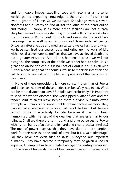and formidable image, expelling Love with scorn as a nurse of weaklings and degrading Knowledge to the position of a squire or even a groom of Force. Or we cultivate Knowledge with a severe aloofness and austerity to find at last the lotus of the heart dulled and fading — happy if its more divine faculties are not already atrophied — and ourselves standing impotent with our science while the thunders of Rudra crash through and devastate the world we have organised so well by our victorious and clear-minded efficiency. Or we run after a vague and mechanical zero we call unity and when we have sterilised our secret roots and dried up the wells of Life within us, discover, unwise unifiers, that we have achieved death and not a greater existence. And all this happens because we will not recognise the complexity of the riddle we are set here to solve. It is a great and divine riddle; but it is no knot of Gordius, nor is its all-wise Author a dead king that he should suffer us to mock his intention and cut through to our will with the fierce impatience of the hasty mortal conqueror.

None of these oppositions is more constant than that of Power and Love: yet neither of these deities can be safely neglected. What can be more divine than Love? But followed exclusively it is impotent to solve the world's discords. The worshipped Avatar of love and the tender saint of saints leave behind them a divine but unfollowed example, a luminous and imperishable but ineffective memory. They have added an element to the potentialities of the heart, but the race cannot utilise it effectively for life because it has not been harmonised with the rest of the qualities that are essential to our fullness. Shall we therefore turn round and give ourselves to Power with its iron hands of action and its hard and clear practical intellect? The men of power may say that they have done a more tangible work for their race than the souls of Love, but it is a vain advantage. For they have not even tried to raise us beyond our imperfect humanity. They have erected a temporary form or given a secular impetus. An empire has been created, an age or a century organised, but the level of humanity has not been raised nearer to the secret of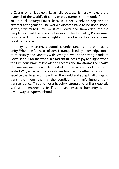a Caesar or a Napoleon. Love fails because it hastily rejects the material of the world's discords or only tramples them underfoot in an unusual ecstasy; Power because it seeks only to organise an external arrangement. The world's discords have to be understood, seized, transmuted. Love must call Power and Knowledge into the temple and seat them beside her in a unified equality; Power must bow its neck to the yoke of Light and Love before it can do any real good to the race.

Unity is the secret, a complex, understanding and embracing unity. When the full heart of Love is tranquillised by knowledge into a calm ecstasy and vibrates with strength, when the strong hands of Power labour for the world in a radiant fullness of joy and light, when the luminous brain of knowledge accepts and transforms the heart's obscure inspirations and lends itself to the workings of the highseated Will, when all these gods are founded together on a soul of sacrifice that lives in unity with all the world and accepts all things to transmute them, then is the condition of man's integral selftranscendence. This and not a haughty, strong and brilliant egoistic self-culture enthroning itself upon an enslaved humanity is the divine way of supermanhood.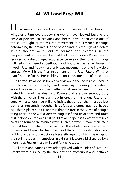### <span id="page-12-0"></span>**All-Will and Free-Will**

H<sub>is is surely a bounded soul who has never felt the brooding</sub> wings of a Fate overshadow the world, never looked beyond the circle of persons, collectivities and forces, never been conscious of the still thought or the assured movement of a Presence in things determining their march. On the other hand it is the sign of a defect in the thought or a void of courage and clearness in the temperament to be overwhelmed by Fate or hidden Presence and reduced to a discouraged acquiescence,— as if the Power in things nullified or rendered superfluous and abortive the same Power in myself. Fate and free-will are only two movements of one indivisible energy. My will is the first instrument of my Fate, Fate a Will that manifests itself in the irresistible subconscious intention of the world.

All error like all evil is born of a division in the indivisible. Because God has a myriad aspects, mind breaks up His unity; it creates a violent opposition and vain attempt at mutual exclusion in the united family of the Ideas and Powers that are convergently busy with the universe. Thus our thought erects a mysterious Fate or an equally mysterious free-will and insists that this or that must be but both shall not subsist together. It is a false and unreal quarrel. I have a will, that is plain; but it is not true that it is free in the sense of being a thing apart in the world determining itself and its actions and fruits as if it alone existed or as if it could at all shape itself except as visible crest and form of an invisible wave. Even the wave is more than itself; for that too has behind it the tramp of the whole measureless ocean of Force and Time. On the other hand there is no incalculable Fate, no blind, cruel and ineluctable Necessity against which the wings of the soul must dash themselves in vain as if it were a bird snared by a monstrous Fowler in a dim-lit and fantastic cage.

All times and nations have felt or played with the idea of Fate. The Greeks were pursued by the thought of a mysterious and ineffable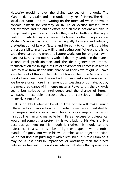Necessity presiding over the divine caprices of the gods. The Mahomedan sits calm and inert under the yoke of Kismet. The Hindu speaks of Karma and the writing on the forehead when he would console himself for calamity or failure or excuse himself from perseverance and masculine effort. And all these notions are akin in the general imprecision of the idea they shadow forth and the vague twilight in which they are content to leave its ulterior significance. Modern Science has brought in an equally formless and arbitrary predestination of Law of Nature and Heredity to contradict the idea of responsibility in a free, willing and acting soul. Where there is no soul, there can be no freedom. Nature works out her original law in man; our fathers and mothers with all that they carried in them are a second vital predestination and the dead generations impose themselves on the living; pressure of environment comes in as a third Fate to take from us the little chance of liberty we might still have snatched out of this infinite coiling of forces. The triple Moirai of the Greeks have been re-enthroned with other masks and new names. We believe once more in a tremendous weaving of our fate, but by the measured dance of immense material Powers. It is the old gods again, but stripped of intelligence and the chance of human sympathy, inexorable because they are conscious neither of themselves nor of us.

It is doubtful whether belief in Fate or free-will makes much difference to a man's action, but it certainly matters a great deal to his temperament and inner being; for it puts its stamp on the cast of his soul. The man who makes belief in Fate an excuse for quiescence, would find some other pretext if this were lacking. His idea is only a decorous garment for his mood; it clothes his indolence and quiescence in a specious robe of light or drapes it with a noble mantle of dignity. But when his will clutches at an object or action, we do not find him pursuing it with a less strenuous resolution or, it may be, a less childish impatience or obstinacy than the freest believer in free-will. It is not our intellectual ideas that govern our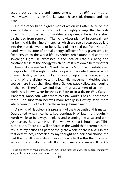action, but our nature and temperament, — not *dhī*, [1](#page-14-0) but *mati* or even *manyu*, or, as the Greeks would have said, thumos and not nous.

On the other hand a great man of action will often seize on the idea of Fate to divinise to himself the mighty energy that he feels driving him on the path of world-altering deeds. He is like a shell discharged from some dim Titanic howitzer planted in concealment far behind this first line of trenches which we see thrown out by Life into the material world; or he is like a planet sped out from Nature's hands with its store of primal energy sufficient for its given time, its fixed service to the world-life, its settled orbit round a distant and sovereign Light. He expresses in the idea of Fate his living and constant sense of the energy which has cast him down here whether to break like some Vedic Marut the world's firm and established things or to cut through mountains a path down which new rivers of human destiny can pour. Like Indra or Bhagirath he precedes; the throng of the divine waters follow. His movement decides their course; here Indus shall flow, there Ganges pace yellow and leonine to the sea. Therefore we find that the greatest men of action the world has known were believers in Fate or in a divine Will. Caesar, Mahomet, Napoleon, what more colossal workers has our past than these? The superman believes more readily in Destiny, feels more vitally conscious of God than the average human mind.

A saying of Napoleon's is pregnant of the true truth of this matter. Questioned why, since he talked continually of fate, he thought it worth while to be always thinking and planning, he answered with just reason, "Because it is still Fate who wills that I should plan." This is the truth. There is a Will or Force in the world that determines the result of my actions as part of the great whole; there is a Will in me that determines, concealed by my thought and personal choice, the part that I shall take in determining the whole. It is this that my mind seizes on and calls my will. But I and mine are masks. It is All-

<span id="page-14-0"></span><sup>&</sup>lt;sup>1</sup>These are terms of Vedic psychology. *Dhī* is the intellect; *mati*, the general mentality; *manyu*, the temperament and emotive mind.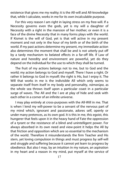existence that gives me my reality; it is the All-will and All-knowledge that, while I calculate, works in me for its own incalculable purpose.

For this very reason I am right in laying stress on my free-will. If a Necessity governs even the gods, yet is my will a daughter of Necessity with a right in the mansion of her mother; or even it is a face of the divine Necessity that in many forms plays with the world. If Kismet is the will of God, yet is that will active in my present moment and not only in the hour of my birth or of the birth of the world. If my past actions determine my present, my immediate action also determines the moment that shall be and is not utterly put off by a tardy mechanism to belated effects in a far-off life. If Law of nature and heredity and environment are powerful, yet do they depend on the individual for the use to which they shall be turned.

The fruit of my actions belongs not to me, but to God and the world; my action belongs to God and myself. There I have a right. Or rather it belongs to God in myself; the right is His, but I enjoy it. The Will that works in me is the indivisible All which only seems to separate itself from itself in my body and personality, *nāmarūpa*, as the whole sea throws itself upon a particular coast in a particular surge of waves. The All and the I are at play of hide and seek with each other in a corner of an infinite universe.

I may play entirely at cross-purposes with the All-Will in me. That is when I lend my will-power to be a servant of the nervous part of my mind which, ignorant and passionate, adores self, openly or under many pretences, as its own god. It is this in me, this egoist, this hungerer that feels upon it in the heavy hand of Fate the oppression of a tyrant or the resistance of a blind and unintelligent power. For always absorbed in its own need and view-point it helps the All by that friction and opposition which are so essential to the mechanism of the world. Therefore it misunderstands the firm Teacher and His stern, yet loving compulsion in things and must progress by self-will and struggle and suffering because it cannot yet learn to progress by obedience. But also I may, by an intuition in my nature, an aspiration in my heart and a reason in my mind, put myself at the service of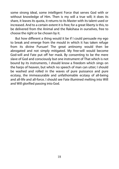some strong ideal, some intelligent Force that serves God with or without knowledge of Him. Then is my will a true will; it does its share, it leaves its quota, it returns to its Master with its talent used or increased. And to a certain extent it is free; for a great liberty is this, to be delivered from the Animal and the Rakshasa in ourselves, free to choose the right or be chosen by it.

But how different a thing would it be if I could persuade my ego to break and emerge from the mould in which it has taken refuge from its divine Pursuer! The great antinomy would then be abrogated and not simply mitigated. My free-will would become God-will and Fate put off her mask. By consenting to be the mere slave of God and consciously but one instrument of That which is not bound by its instruments, I should know a freedom which sings on the harps of heaven, but which no speech of man can utter; I should be washed and rolled in the waves of pure puissance and pure ecstasy, the immeasurable and unfathomable ecstasy of all-being and all-life and all-force. I should see Fate illumined melting into Will and Will glorified passing into God.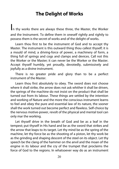# <span id="page-17-0"></span>**The Delight of Works**

In thy works there are always these three, the Master, the Worker and the Instrument. To define them in oneself rightly and rightly to possess them is the secret of works and of the delight of works.

Learn thou first to be the instrument of God and to accept thy Master. The instrument is this outward thing thou callest thyself; it is a mould of mind, a driving-force of power, a machinery of form, a thing full of springs and cogs and clamps and devices. Call not this the Worker or the Master; it can never be the Worker or the Master. Accept thyself humbly, yet proudly, devotedly, submissively and joyfully as a divine instrument.

There is no greater pride and glory than to be a perfect instrument of the Master.

Learn thou first absolutely to obey. The sword does not choose where it shall strike, the arrow does not ask whither it shall be driven, the springs of the machine do not insist on the product that shall be turned out from its labour. These things are settled by the intention and working of Nature and the more the conscious instrument learns to feel and obey the pure and essential law of its nature, the sooner shall the work turned out become perfect and flawless. Self-choice by the nervous motive-power, revolt of the physical and mental tool can only mar the working.

Let thyself drive in the breath of God and be as a leaf in the tempest; put thyself in His hand and be as the sword that strikes and the arrow that leaps to its target. Let thy mind be as the spring of the machine, let thy force be as the shooting of a piston, let thy work be as the grinding and shaping descent of the steel on its object. Let thy speech be the clang of the hammer on the anvil and the moan of the engine in its labour and the cry of the trumpet that proclaims the force of God to the regions. In whatsoever way do as an instrument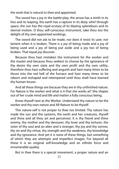the work that is natural to thee and appointed.

The sword has a joy in the battle-play, the arrow has a mirth in its hiss and its leaping, the earth has a rapture in its dizzy whirl through space, the sun has the royal ecstasy of its blazing splendours and its eternal motion. O thou self-conscious instrument, take thou too the delight of thy own appointed workings.

The sword did not ask to be made, nor does it resist its user, nor lament when it is broken. There is a joy of being made and a joy of being used and a joy of being put aside and a joy too of being broken. That equal joy discover.

Because thou hast mistaken the instrument for the worker and the master and because thou seekest to choose by the ignorance of thy desire thy own state and thy own profit and thy own utility, therefore thou hast suffering and anguish and hast many times to be thrust into the red hell of the furnace and hast many times to be reborn and reshaped and retempered until thou shalt have learned thy human lesson.

And all these things are because they are in thy unfinished nature. For Nature is the worker and what is it that she works at? She shapes out of her crude mind and life and matter a fully conscious being.

Know thyself next as the Worker. Understand thy nature to be the worker and thy own nature and All-Nature to be thyself.

This nature-self is not proper to thee nor limited. Thy nature has made the sun and the systems, the earth and her creatures, thyself and thine and all thou art and perceivest. It is thy friend and thine enemy, thy mother and thy devourer, thy lover and thy torturer, the sister of thy soul and an alien and a stranger, thy joy and thy sorrow, thy sin and thy virtue, thy strength and thy weakness, thy knowledge and thy ignorance. And yet it is none of these things, but something of which they are attempts and imperfect images. For beyond all these it is an original self-knowledge and an infinite force and innumerable quality.

But in thee there is a special movement, a proper nature and an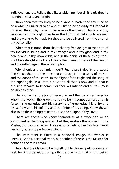individual energy. Follow that like a widening river till it leads thee to its infinite source and origin.

Know therefore thy body to be a knot in Matter and thy mind to be a whirl in universal Mind and thy life to be an eddy of Life that is for ever. Know thy force to be every other being's force and thy knowledge to be a glimmer from the light that belongs to no man and thy works to be made for thee and be delivered from the error of thy personality.

When that is done, thou shalt take thy free delight in the truth of thy individual being and in thy strength and in thy glory and in thy beauty and in thy knowledge; and in the denial of these things thou shalt take delight also. For all this is the dramatic mask of the Person and the self-image of the self-Sculptor.

Why shouldst thou limit thyself? Feel thyself also in the sword that strikes thee and the arms that embrace, in the blazing of the sun and the dance of the earth, in the flight of the eagle and the song of the nightingale, in all that is past and all that is now and all that is pressing forward to become. For thou art infinite and all this joy is possible to thee.

The Worker has the joy of her works and the joy of her Lover for whom she works. She knows herself to be his consciousness and his force, his knowledge and his reserving of knowledge, his unity and his self-division, his infinity and the finite of his being. Know thyself also to be these things; take thou also the delight of thy Lover.

There are those who know themselves as a workshop or an instrument or the thing worked, but they mistake the Worker for the Master; this too is an error. Those who fall into it can hardly arrive at her high, pure and perfect workings.

The instrument is finite in a personal image, the worker is universal with a personal trend, but neither of these is the Master; for neither is the true Person.

Know last the Master to be thyself; but to this self put no form and seek for it no definition of quality. Be one with That in thy being,